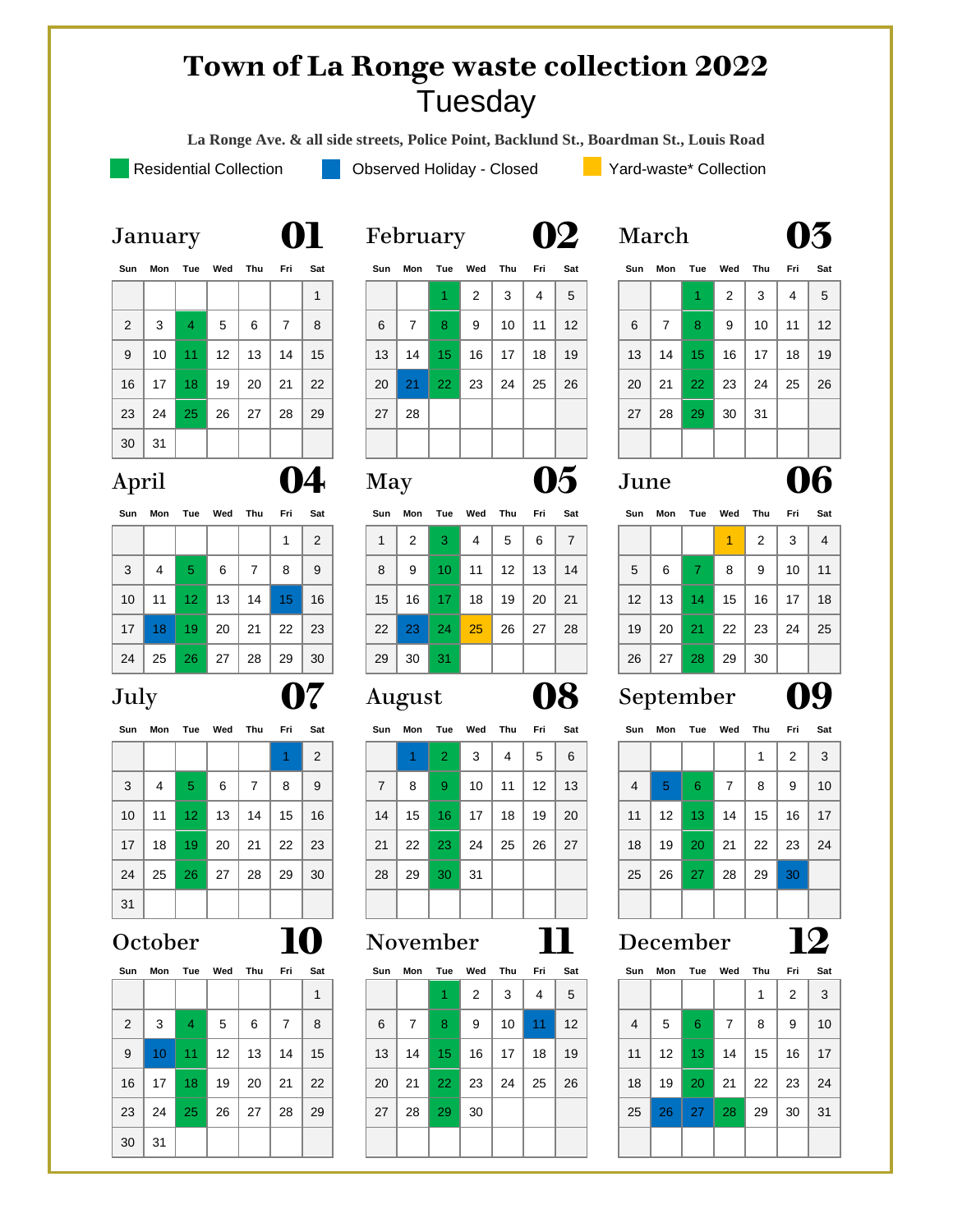### **Town of La Ronge waste collection 2022** Tuesday

**La Ronge Ave. & all side streets, Police Point, Backlund St., Boardman St., Louis Road**

Residential Collection **Observed Holiday - Closed Collection** Yard-waste\* Collection

| Sun            | Mon             | Tue | Wed               | Thu | Fri            | Sat | Sun | Mon | Tue             | Wed | Thu | Fri | Sat | Sun | Mon |                 | Tue Wed Thu |    |
|----------------|-----------------|-----|-------------------|-----|----------------|-----|-----|-----|-----------------|-----|-----|-----|-----|-----|-----|-----------------|-------------|----|
|                |                 |     |                   |     |                | 1   |     |     | d.              | 2   | 3   | 4   | 5   |     |     | 1.              | 2           | 3  |
| $\overline{2}$ | 3               | 4   | 5                 | 6   | $\overline{7}$ | 8   | 6   | 7   | 8               | 9   | 10  | 11  | 12  | 6   | 7   | 8               | 9           | 10 |
| 9              | 10              | 11  | $12 \overline{ }$ | 13  | 14             | 15  | 13  | 14  | 15 <sub>1</sub> | 16  | 17  | 18  | 19  | 13  | 14  | 15 <sub>1</sub> | 16          | 17 |
| 16             | 17 <sup>2</sup> | 18  | 19                | 20  | 21             | 22  | 20  | 21  | 22 <sub>1</sub> | 23  | 24  | 25  | 26  | 20  | 21  | 22              | 23          | 24 |
| 23             | 24              | 25  | 26                | 27  | 28             | 29  | 27  | 28  |                 |     |     |     |     | 27  | 28  | 29              | 30          | 31 |
| 30             | 31              |     |                   |     |                |     |     |     |                 |     |     |     |     |     |     |                 |             |    |

|     | 14 |
|-----|----|
| --- |    |

| Sun | Mon | Tue             | Wed | Thu | Fri              | Sat | Sun | Mon | Tue | Wed | Thu | Fri | Sat            | Sun | Mon | Tue | Wed | Thư |
|-----|-----|-----------------|-----|-----|------------------|-----|-----|-----|-----|-----|-----|-----|----------------|-----|-----|-----|-----|-----|
|     |     |                 |     |     |                  | 2   | 1   | 2   | 3.  | 4   | 5   | 6   | $\overline{7}$ |     |     |     | 1   | 2   |
| 3   | 4   | 5               | 6   | 7   | 8                | 9   | 8   | 9   | 10  | 11  | 12  | 13  | 14             | 5   | 6   | 7.  | 8   | 9   |
| 10  | 11  | 12 <sub>2</sub> | 13  | 14  | 15 <sup>15</sup> | 16  | 15  | 16  | 17. | 18  | 19  | 20  | 21             | 12  | 13  | 147 | 15  | 16  |
| 17  | 18  | 19              | 20  | 21  | 22               | 23  | 22  | 23  | 24  | 25  | 26  | 27  | 28             | 19  | 20  | 21  | 22  | 23  |
| 24  | 25  | 26              | 27  | 28  | 29               | 30  | 29  | 30  | 31. |     |     |     |                | 26  | 27  | 28  | 29  | 30  |

|    |    |    |    |    |    | $\overline{2}$ |
|----|----|----|----|----|----|----------------|
| 3  | 4  | 5  | 6  | 7  | 8  | 9              |
| 10 | 11 | 12 | 13 | 14 | 15 | 16             |
| 17 | 18 | 19 | 20 | 21 | 22 | 23             |
| 24 | 25 | 26 | 27 | 28 | 29 | 30             |
| 31 |    |    |    |    |    |                |

| Sun            | Mon |                | Tue Wed Thu Fri |    |    | Sat |
|----------------|-----|----------------|-----------------|----|----|-----|
|                |     |                |                 |    |    |     |
| $\overline{2}$ | 3   | $\overline{4}$ | 5               | 6  | 7  | 8   |
| 9              | 10  | 11             | 12              | 13 | 14 | 15  |
| 16             | 17  | 18             | 19              | 20 | 21 | 22  |
| 23             | 24  | 25             | 26              | 27 | 28 | 29  |
| 30             | 31  |                |                 |    |    |     |

|    | repi uai y     |    |    |
|----|----------------|----|----|
|    | Sun Mon Tue We |    |    |
|    |                |    | 2  |
| 6  | 7              | 8  | 9  |
| 13 | 14             | 15 | 16 |
|    |                |    |    |



# April **04** May **05** June **06**

| Sun          | Mon            |                 | Tue Wed | Thu | Fri | Sat |
|--------------|----------------|-----------------|---------|-----|-----|-----|
| $\mathbf{1}$ | $\overline{2}$ | 3               | 4       | 5   | 6   | 7   |
| 8            | 9              | 10              | 11      | 12  | 13  | 14  |
| 15           | 16             | 17 <sup>2</sup> | 18      | 19  | 20  | 21  |
| 22           | 23             | 24              | 25      | 26  | 27  | 28  |
| 29           | 30             | 31              |         |     |     |     |

| SL |            |  |
|----|------------|--|
| πس | <b>Wed</b> |  |

|                 |    |                 |    |    |    | 2  |    |    | $2^{\circ}$     | 3  | 4  | 5  | 6  |    |                 |                 |    |    | 2  | $\mathbf{3}$ |
|-----------------|----|-----------------|----|----|----|----|----|----|-----------------|----|----|----|----|----|-----------------|-----------------|----|----|----|--------------|
| 3               | 4  | 5               | 6  | 7  | 8  | 9  | 7  | 8  | 9               | 10 | 11 | 12 | 13 | 4  | -5              | -6              | 7  | 8  | 9  | 10           |
| 10 <sup>°</sup> | 11 | 12 <sub>1</sub> | 13 | 14 | 15 | 16 | 14 | 15 | 16 <sup>1</sup> | 17 | 18 | 19 | 20 | 11 | 12 <sup>°</sup> | 13 <sup>°</sup> | 14 | 15 | 16 | -17          |
| 17              | 18 | 19              | 20 | 21 | 22 | 23 | 21 | 22 | 23              | 24 | 25 | 26 | 27 | 18 | 19              | 20              | 21 | 22 | 23 | 24           |
| 24              | 25 | 26              | 27 | 28 | 29 | 30 | 28 | 29 | 30 <sup>°</sup> | 31 |    |    |    | 25 | 26              | 27              | 28 | 29 | 30 |              |
| 31              |    |                 |    |    |    |    |    |    |                 |    |    |    |    |    |                 |                 |    |    |    |              |

| Sun | Mon             |    | Tue Wed           | Thu | Fri Sat |    | Sun | Mon | Tue             | Wed | Thu | Fri             | Sat               | Sun            | Mon               | Tue             | Wed | Thu | Fri | Sat          |
|-----|-----------------|----|-------------------|-----|---------|----|-----|-----|-----------------|-----|-----|-----------------|-------------------|----------------|-------------------|-----------------|-----|-----|-----|--------------|
|     |                 |    |                   |     |         | 1  |     |     |                 | 2   | 3   | 4               | 5                 |                |                   |                 |     |     | 2   | $\mathbf{3}$ |
| 2   | 3               | 4  | 5                 | 6   | 7       | 8  | 6   | 7   | 8               | 9   | 10  | 11 <sub>1</sub> | $12 \overline{ }$ | $\overline{4}$ | 5                 | 6               | 7   | 8   | 9   | 10           |
| 9   | 10 <sup>°</sup> | 11 | $12 \overline{ }$ | 13  | 14      | 15 | 13  | 14  | 15 <sup>2</sup> | 16  | 17  | 18              | 19                | 11             | $12 \overline{ }$ | 13 <sup>°</sup> | 14  | 15  | 16  | 17           |
| 16  | 17              | 18 | 19                | 20  | 21      | 22 | 20  | 21  | 22              | 23  | 24  | 25              | 26                | 18             | 19                | <b>20</b>       | 21  | 22  | 23  | 24           |
| 23  | 24              | 25 | 26                | 27  | 28      | 29 | 27  | 28  | 29              | 30  |     |                 |                   | 25             | 26                | <b>27</b>       | 28  | 29  | 30  | -31          |
| 30  | 31              |    |                   |     |         |    |     |     |                 |     |     |                 |                   |                |                   |                 |     |     |     |              |
|     |                 |    |                   |     |         |    |     |     |                 |     |     |                 |                   |                |                   |                 |     |     |     |              |

| January | 01 | February | 02 | March | 03 |
|---------|----|----------|----|-------|----|
|---------|----|----------|----|-------|----|

| Sun |    | Mon Tue Wed     |                   | Thu | Fri Sat |     |    | Sun Mon | Tue             | Wed | Thu | Fri | Sat               |    |    | Sun Mon Tue Wed |                | Thu Fri |    | Sat |
|-----|----|-----------------|-------------------|-----|---------|-----|----|---------|-----------------|-----|-----|-----|-------------------|----|----|-----------------|----------------|---------|----|-----|
|     |    |                 |                   |     |         | 1   |    |         |                 | 2   | 3   | 4   | 5                 |    |    |                 | $\overline{2}$ | 3       | 4  | - 5 |
| 2   | 3  | $\overline{4}$  | 5                 | 6   | 7       | 8   | 6  | 7       | 8               | 9   | 10  | 11  | $12 \overline{ }$ | 6  | 7  | 8               | 9              | 10      | 11 | 12  |
| 9   | 10 | 11              | $12 \overline{ }$ | 13  | 14      | 15  | 13 | 14      | 15 <sub>1</sub> | 16  | 17  | 18  | 19                | 13 | 14 | 15 <sub>1</sub> | 16             | 17      | 18 | 19  |
| 16  | 17 | 18 <sup>°</sup> | 19                | 20  | 21      | 22  | 20 | 21      | 22 <sub>1</sub> | 23  | 24  | 25  | 26                | 20 | 21 | 22              | 23             | 24      | 25 | 26  |
| 23  | 24 | 25              | -26               | 27  | 28      | 29  | 27 | 28      |                 |     |     |     |                   | 27 | 28 | 29              | 30             | -31     |    |     |
| 30  | 31 |                 |                   |     |         |     |    |         |                 |     |     |     |                   |    |    |                 |                |         |    |     |
|     |    |                 |                   |     |         | - - |    |         |                 |     |     |     | -                 |    |    |                 |                |         |    |     |

| วนท             | mon | l ue            | wea | ınu | . ELL           | əat | əun | MON | ı ue | wea | ınu               | . FU | əat | əun               | MON | ı ue            | wea | ınu | <b>FU</b> | əat |
|-----------------|-----|-----------------|-----|-----|-----------------|-----|-----|-----|------|-----|-------------------|------|-----|-------------------|-----|-----------------|-----|-----|-----------|-----|
|                 |     |                 |     |     |                 | 2   |     | 2   | 3    | 4   | 5                 | 6    | 7   |                   |     |                 |     | 2   | 3         | 4   |
| 3               | 4   | 5               | 6   |     | 8               | 9   | 8   | 9   | 10   | 11  | $12 \overline{ }$ | 13   | 14  | 5                 | -6  | 7.              | 8   | 9   | 10        | 11  |
| 10 <sup>°</sup> | 11  | 12 <sub>1</sub> | 13  | 14  | 15 <sub>1</sub> | 16  | 15  | 16  | 17   | 18  | 19                | 20   | 21  | $12 \overline{ }$ | 13  | 14 <sup>°</sup> | 15  | 16  | 17        | 18  |
| 17              | 18. | 19              | 20  | 21  | 22              | 23  | 22  | 23  | 24   | 25  | 26                | 27   | 28  | 19                | 20  | 21              | 22  | 23  | 24        | 25  |
| 24              | 25  | 26              | 27  | 28  | 29              | 30  | 29  | 30  | 31   |     |                   |      |     | 26                | -27 | 28              | 29  | 30  |           |     |

### July **07** August **08** September **09**

| Sun             | Mon | Tue             | Wed | Thu | Fri | Sat | Sun | Mon | Tue                  | Wed | Thu | Fri | Sat | Sun | Mon | Tue             | Wed | Thu | Fri             | Sat             |
|-----------------|-----|-----------------|-----|-----|-----|-----|-----|-----|----------------------|-----|-----|-----|-----|-----|-----|-----------------|-----|-----|-----------------|-----------------|
|                 |     |                 |     |     |     | 2   |     |     | $\mathbf{2}^{\circ}$ | 3   | 4   | 5   | -6  |     |     |                 |     |     | 2               | 3               |
| 3               | 4   | 5               | 6   | 7   | 8   | 9   | 7   | 8   | $\overline{9}$       | 10  | 11  | 12  | 13  | 4   | 5   | 6               | 7   | 8   | 9               | 10              |
| 10 <sup>°</sup> | 11  | 12 <sup>2</sup> | 13  | 14  | 15  | 16  | 14  | 15  | 16 <sup>1</sup>      | 17  | 18  | 19  | 20  | 11  | 12  | 13 <sup>°</sup> | 14  | 15  | 16              | 17 <sup>2</sup> |
| 17              | 18  | 19              | 20  | 21  | 22  | 23  | 21  | 22  | 23                   | 24  | 25  | 26  | 27  | 18  | 19  | 20              | 21  | 22  | 23              | 24              |
| 24              | 25  | 26              | 27  | 28  | 29  | 30  | 28  | 29  | 30 <sup>°</sup>      | -31 |     |     |     | 25  | 26  | 27              | 28  | 29  | 30 <sup>°</sup> |                 |
| 31              |     |                 |     |     |     |     |     |     |                      |     |     |     |     |     |     |                 |     |     |                 |                 |

### October **10** November **11** December **12**

| Sun            |    | Mon Tue | Wed | Thu | Fri            | Sat |
|----------------|----|---------|-----|-----|----------------|-----|
|                |    |         |     | 1   | $\overline{2}$ | 3   |
| $\overline{4}$ | 5  | 6       | 7   | 8   | 9              | 10  |
| 11             | 12 | 13      | 14  | 15  | 16             | 17  |
| 18             | 19 | 20      | 21  | 22  | 23             | 24  |
| 25             | 26 | 27      | 28  | 29  | 30             | 31  |
|                |    |         |     |     |                |     |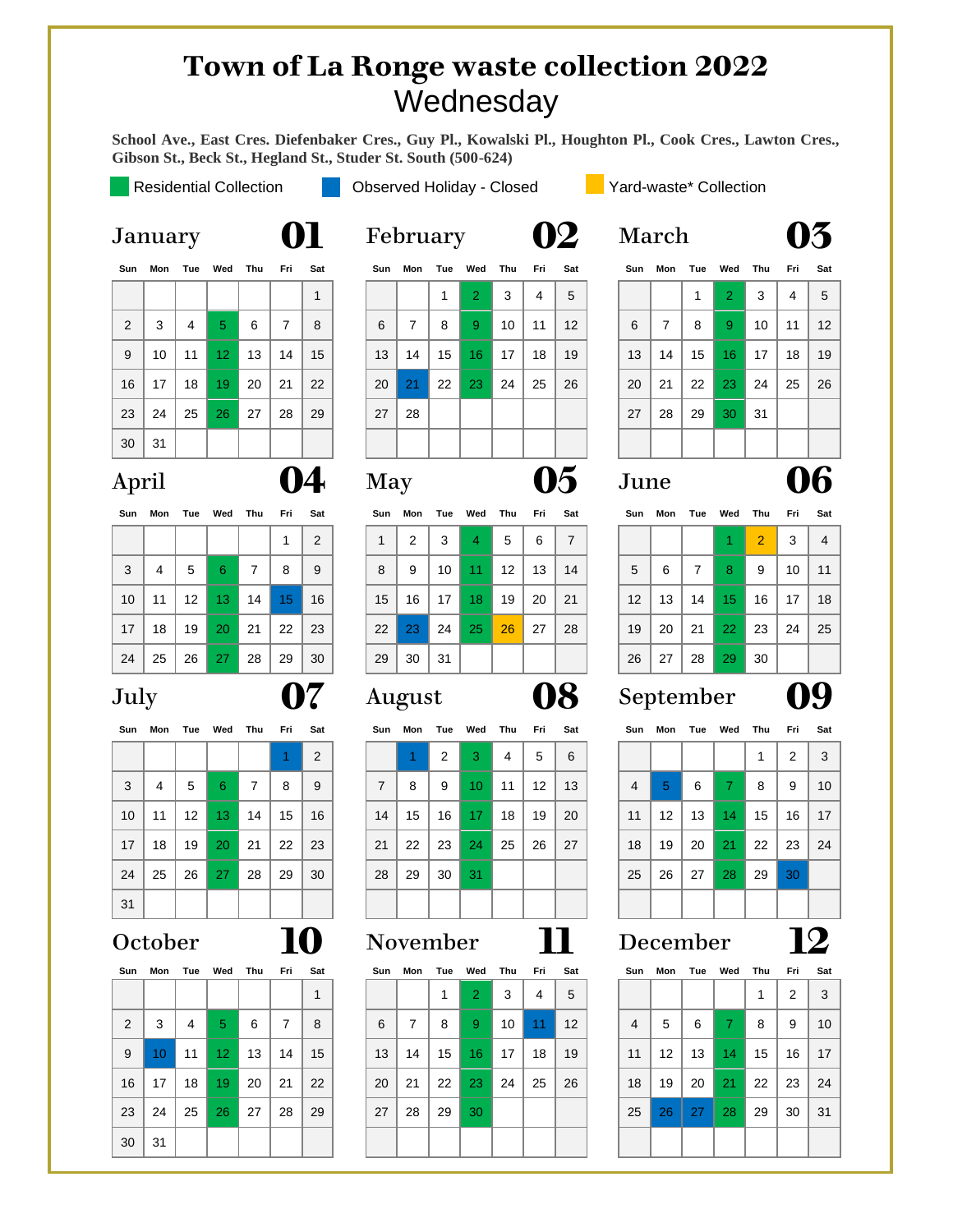### **Town of La Ronge waste collection 2022 Wednesday**

**School Ave., East Cres. Diefenbaker Cres., Guy Pl., Kowalski Pl., Houghton Pl., Cook Cres., Lawton Cres., Gibson St., Beck St., Hegland St., Studer St. South (500-624)**

Observe that Fourier's equation is:\n
$$
\frac{d}{dt} = \frac{d}{dt} \cos(\theta)
$$

Residential Collection **Observed Holiday - Closed Collection** Yard-waste\* Collection

| Sun | Mon | Tue | Wed             | Thu | Fri            | Sat |
|-----|-----|-----|-----------------|-----|----------------|-----|
|     |     |     |                 |     |                | 1   |
| 2   | 3   | 4   | 5               | 6   | $\overline{7}$ | 8   |
| 9   | 10  | 11  | 12 <sub>2</sub> | 13  | 14             | 15  |
| 16  | 17  | 18  | 19              | 20  | 21             | 22  |
| 23  | 24  | 25  | 26              | 27  | 28             | 29  |
| 30  | 31  |     |                 |     |                |     |

| Sun | Mon | Tue | Wed | Thu | Fri | Sat |
|-----|-----|-----|-----|-----|-----|-----|
|     |     |     |     |     | 1   | 2   |
| 3   | 4   | 5   | 6   | 7   | 8   | 9   |
| 10  | 11  | 12  | 13  | 14  | 15  | 16  |
| 17  | 18  | 19  | 20  | 21  | 22  | 23  |
| 24  | 25  | 26  | 27  | 28  | 29  | 30  |

|              |                |    |    |    |    | 2  |
|--------------|----------------|----|----|----|----|----|
| $\mathbf{3}$ | $\overline{4}$ | 5  | 6  | 7  | 8  | 9  |
| 10           | 11             | 12 | 13 | 14 | 15 | 16 |
| 17           | 18             | 19 | 20 | 21 | 22 | 23 |
| 24           | 25             | 26 | 27 | 28 | 29 | 30 |
| 31           |                |    |    |    |    |    |

| Sun            | Mon |    | Tue Wed Thu     |    | Fri | Sat |
|----------------|-----|----|-----------------|----|-----|-----|
|                |     |    |                 |    |     | 1   |
| $\overline{2}$ | 3   | 4  | 5               | 6  | 7   | 8   |
| 9              | 10  | 11 | 12 <sub>2</sub> | 13 | 14  | 15  |
| 16             | 17  | 18 | 19              | 20 | 21  | 22  |
| 23             | 24  | 25 | 26              | 27 | 28  | 29  |
| 30             | 31  |    |                 |    |     |     |

|    | $\mu$ unuury |                 |                             |    |                | VI           |    | <b>T</b> CDI UUI Y |    |                     |    |     | VZ  | <b>TITAT CIT</b> |    |    |                             |     | vv        |           |
|----|--------------|-----------------|-----------------------------|----|----------------|--------------|----|--------------------|----|---------------------|----|-----|-----|------------------|----|----|-----------------------------|-----|-----------|-----------|
|    |              |                 | Sun Mon Tue Wed Thu Fri Sat |    |                |              |    |                    |    | Sun Mon Tue Wed Thu |    | Fri | Sat |                  |    |    | Sun Mon Tue Wed Thu Fri Sat |     |           |           |
|    |              |                 |                             |    |                | $\mathbf{1}$ |    |                    |    | $\overline{2}$      | 3  | 4   | 5   |                  |    |    | 2 <sup>1</sup>              | 3   | 4         | $\vert 5$ |
| 2  | 3            | $\overline{4}$  | $\sqrt{5}$                  | 6  | $\overline{7}$ | -8           | 6  | $\overline{7}$     | 8  | -9                  | 10 | 11  | 12  | 6                | 7  | 8  | 9 <sup>°</sup>              | 10  | $11$   12 |           |
| 9  | 10           | 11 <sup>1</sup> | 12 <sup>°</sup>             | 13 | 14             | 15           | 13 | 14                 | 15 | 16 <sup>°</sup>     | 17 | 18  | 19  | 13               | 14 | 15 | 16 <sup>1</sup>             | 17  | 18        | 19        |
| 16 | 17           | 18              | 19                          | 20 | 21             | 22           | 20 | 21                 | 22 | 23                  | 24 | 25  | 26  | 20               | 21 | 22 | 23                          | 24  | 25        | - 26      |
| 23 | 24           | 25              | 26                          | 27 | 28             | 29           | 27 | 28                 |    |                     |    |     |     | 27               | 28 | 29 | 30 <sup>°</sup>             | -31 |           |           |
| 30 | 31           |                 |                             |    |                |              |    |                    |    |                     |    |     |     |                  |    |    |                             |     |           |           |
|    |              |                 |                             |    |                |              |    |                    |    |                     |    |     |     |                  |    |    |                             |     |           |           |

# April **04** May **05** June **06**

| Sun             |    | Mon Tue Wed     |                 | Thu | Fri Sat         |    | Sun | Mon | Tue | Wed             | Thu               | Fri | Sat |                   | Sun Mon |    | Tue Wed         | Thu Fri |    | Sat            |
|-----------------|----|-----------------|-----------------|-----|-----------------|----|-----|-----|-----|-----------------|-------------------|-----|-----|-------------------|---------|----|-----------------|---------|----|----------------|
|                 |    |                 |                 |     |                 | 2  |     | 2   | 3   | 4               | 5                 | 6   | 7   |                   |         |    |                 | 2       | 3  | $\overline{4}$ |
| 3               | 4  | 5               | 6               | 7   | 8               | 9  | 8   | 9   | 10  | 11              | $12 \overline{ }$ | 13  | 14  | 5                 | 6       | 7  | 8               | 9       | 10 | 11             |
| 10 <sup>°</sup> | 11 | 12 <sup>1</sup> | 13 <sup>°</sup> | 14  | 15 <sub>1</sub> | 16 | 15  | 16  | 17  | 18 <sup>°</sup> | 19                | 20  | 21  | $12 \overline{ }$ | 13      | 14 | 15 <sup>2</sup> | 16      | 17 | 18             |
| 17 <sup>2</sup> | 18 | 19              | <b>20</b>       | 21  | 22              | 23 | 22  | 23  | 24  | 25              | 26                | 27  | 28  | 19                | 20      | 21 | 22              | 23      | 24 | 25             |
| 24              | 25 | 26              | -27             | 28  | 29              | 30 | 29  | 30  | 31  |                 |                   |     |     | 26                | 27      | 28 | 29              | 30      |    |                |

| Sun             | Mon |                 | Tue Wed Thu     |    | Fri | Sat |    | Sun Mon | Tue | Wed             | Thu | Fri               | Sat | Sun | Mon             | Tue | Wed             | Thu | Fri | Sat |
|-----------------|-----|-----------------|-----------------|----|-----|-----|----|---------|-----|-----------------|-----|-------------------|-----|-----|-----------------|-----|-----------------|-----|-----|-----|
|                 |     |                 |                 |    |     | 2   |    |         | 2   | 3               | 4   | 5                 | 6   |     |                 |     |                 |     | 2   | 3   |
| 3               | 4   | 5               | 6               | 7  | 8   | 9   | 7  | 8       | 9   | 10 <sup>°</sup> | 11  | $12 \overline{ }$ | 13  | 4   | 5               | -6  | $\mathbf{7}$    | 8   | 9   | 10  |
| 10 <sup>°</sup> | 11  | 12 <sup>1</sup> | 13 <sup>°</sup> | 14 | 15  | 16  | 14 | 15      | 16  | 17 <sup>2</sup> | 18  | 19                | 20  | 11  | 12 <sup>°</sup> | 13  | 14 <sup>°</sup> | 15  | 16  | -17 |
| 17              | 18  | 19              | <b>20</b>       | 21 | 22  | 23  | 21 | 22      | 23  | 24              | 25  | 26                | 27  | 18  | 19              | 20  | 21              | 22  | 23  | 24  |
| 24              | 25  | 26              | <b>27</b>       | 28 | 29  | 30  | 28 | 29      | 30  | 31              |     |                   |     | 25  | 26              | 27  | 28              | 29  | 30  |     |
| 31              |     |                 |                 |    |     |     |    |         |     |                 |     |                   |     |     |                 |     |                 |     |     |     |

| Sun | Mon             |    | Tue Wed         | Thu | Fri Sat |    |    | Sun Mon | Tue | Wed             | Thu | Fri             | Sat |                | Sun Mon Tue Wed   |    |             | Thu | Fri | Sat |
|-----|-----------------|----|-----------------|-----|---------|----|----|---------|-----|-----------------|-----|-----------------|-----|----------------|-------------------|----|-------------|-----|-----|-----|
|     |                 |    |                 |     |         | 1  |    |         | 1   | 2               | 3   | $\overline{4}$  | 5   |                |                   |    |             |     | 2   | 3   |
| 2   | 3               | 4  | 5               | 6   | 7       | 8  | 6  | 7       | 8   | -9              | 10  | 11 <sup>1</sup> | 12  | $\overline{4}$ | 5                 | -6 | $7^{\circ}$ | 8   | 9   | 10  |
| 9   | 10 <sup>°</sup> | 11 | 12 <sup>°</sup> | 13  | 14      | 15 | 13 | 14      | 15  | 16 <sup>1</sup> | 17  | 18              | 19  | 11             | $12 \overline{ }$ | 13 | 14          | 15  | 16  | 17  |
| 16  | 17              | 18 | 19              | 20  | 21      | 22 | 20 | 21      | 22  | 23              | 24  | 25              | 26  | 18             | 19                | 20 | 21          | 22  | -23 | 24  |
| 23  | 24              | 25 | 26              | 27  | 28      | 29 | 27 | 28      | 29  | 30              |     |                 |     | 25             | 26                | 27 | 28          | 29  | 30  | -31 |
| 30  | 31              |    |                 |     |         |    |    |         |     |                 |     |                 |     |                |                   |    |             |     |     |     |
|     |                 |    |                 |     |         |    |    |         |     |                 |     |                 |     |                |                   |    |             |     |     |     |

|     | January |     |                 |     |                |              |     | February |     |                |     |     |                   | March |     |     |                |     |                | 13  |
|-----|---------|-----|-----------------|-----|----------------|--------------|-----|----------|-----|----------------|-----|-----|-------------------|-------|-----|-----|----------------|-----|----------------|-----|
| Sun | Mon     | Tue | Wed             | Thu | Fri            | Sat          | Sun | Mon      | Tue | Wed            | Thu | Fri | Sat               | Sun   | Mon | Tue | Wed            | Thu | Fri            | Sat |
|     |         |     |                 |     |                | $\mathbf{1}$ |     |          |     | $\overline{2}$ | 3   | 4   | 5                 |       |     |     | $\overline{2}$ | 3   | $\overline{4}$ | 5   |
| 2   | 3       | 4   | 5.              | 6   | $\overline{7}$ | 8            | 6   | 7        | 8   | 9              | 10  | 11  | $12 \overline{ }$ | 6     | 7   | 8   | 9              | 10  | 11             | 12  |
| 9   | 10      | 11  | 12 <sub>2</sub> | 13  | 14             | 15           | 13  | 14       | 15  | 16             | 17  | 18  | 19                | 13    | 14  | 15  | 16             | 17  | 18             | 19  |
| 16  | 17      | 18  | 19              | 20  | 21             | 22           | 20  | 21       | 22  | 23             | 24  | 25  | 26                | 20    | 21  | 22  | 23             | 24  | 25             | 26  |
| 23  | 24      | 25  | 26              | 27  | 28             | 29           | 27  | 28       |     |                |     |     |                   | 27    | 28  | 29  | 30             | 31  |                |     |
| 30  | 31      |     |                 |     |                |              |     |          |     |                |     |     |                   |       |     |     |                |     |                |     |

| Sat |
|-----|

| oun             | IVIUII | . . uc | weu             | .  |     | vau | ∾u⊪ | ווטוזו | lu <del>c</del> wou |    |                   |    | vau |                   | <b>JUIL MUIL</b> | .uc | <b>TYCU</b>     |                |    | vau |
|-----------------|--------|--------|-----------------|----|-----|-----|-----|--------|---------------------|----|-------------------|----|-----|-------------------|------------------|-----|-----------------|----------------|----|-----|
|                 |        |        |                 |    |     | 2   |     | 2      | 3                   | 4  | 5                 | 6  | 7   |                   |                  |     |                 | $\overline{2}$ | 3  |     |
| 3               | 4      | 5      | 6               |    | 8   | 9   | 8   | 9      | 10                  | 11 | $12 \overline{ }$ | 13 | 14  | 5                 | 6                |     | 8               | 9              | 10 | 11  |
| 10 <sup>°</sup> | 11     | 12     | 13 <sup>°</sup> | 14 | 15  | 16  | 15  | 16     | 17                  | 18 | 19                | 20 | 21  | $12 \overline{ }$ | 13               | 14  | 15 <sub>1</sub> | 16             | 17 | 18  |
| 17              | 18     | 19     | 20              | 21 | 22  | 23  | 22  | 23     | 24                  | 25 | 26                | 27 | 28  | 19                | 20               | 21  | $22^{\circ}$    | 23             | 24 | 25  |
| 24              | 25     | 26     | 27              | 28 | -29 | 30  | 29  | 30     | 31                  |    |                   |    |     | 26                | 27               | 28  | 29              | 30             |    |     |

## July **07** August **08** September **09**

|                |    |    |    | 1  | $\overline{2}$ | 3  |
|----------------|----|----|----|----|----------------|----|
| $\overline{4}$ | 5  | 6  | 7  | 8  | 9              | 10 |
| 11             | 12 | 13 | 14 | 15 | 16             | 17 |
| 18             | 19 | 20 | 21 | 22 | 23             | 24 |
| 25             | 26 | 27 | 28 | 29 | 30             |    |
|                |    |    |    |    |                |    |

# October **10** November **11** December **12**

| Sun            |    | Mon Tue Wed |    | Thu | Fri | Sat |
|----------------|----|-------------|----|-----|-----|-----|
|                |    |             |    | 1   | 2   | 3   |
| $\overline{4}$ | 5  | 6           | 7  | 8   | 9   | 10  |
| 11             | 12 | 13          | 14 | 15  | 16  | 17  |
| 18             | 19 | 20          | 21 | 22  | 23  | 24  |
| 25             | 26 | 27          | 28 | 29  | 30  | 31  |
|                |    |             |    |     |     |     |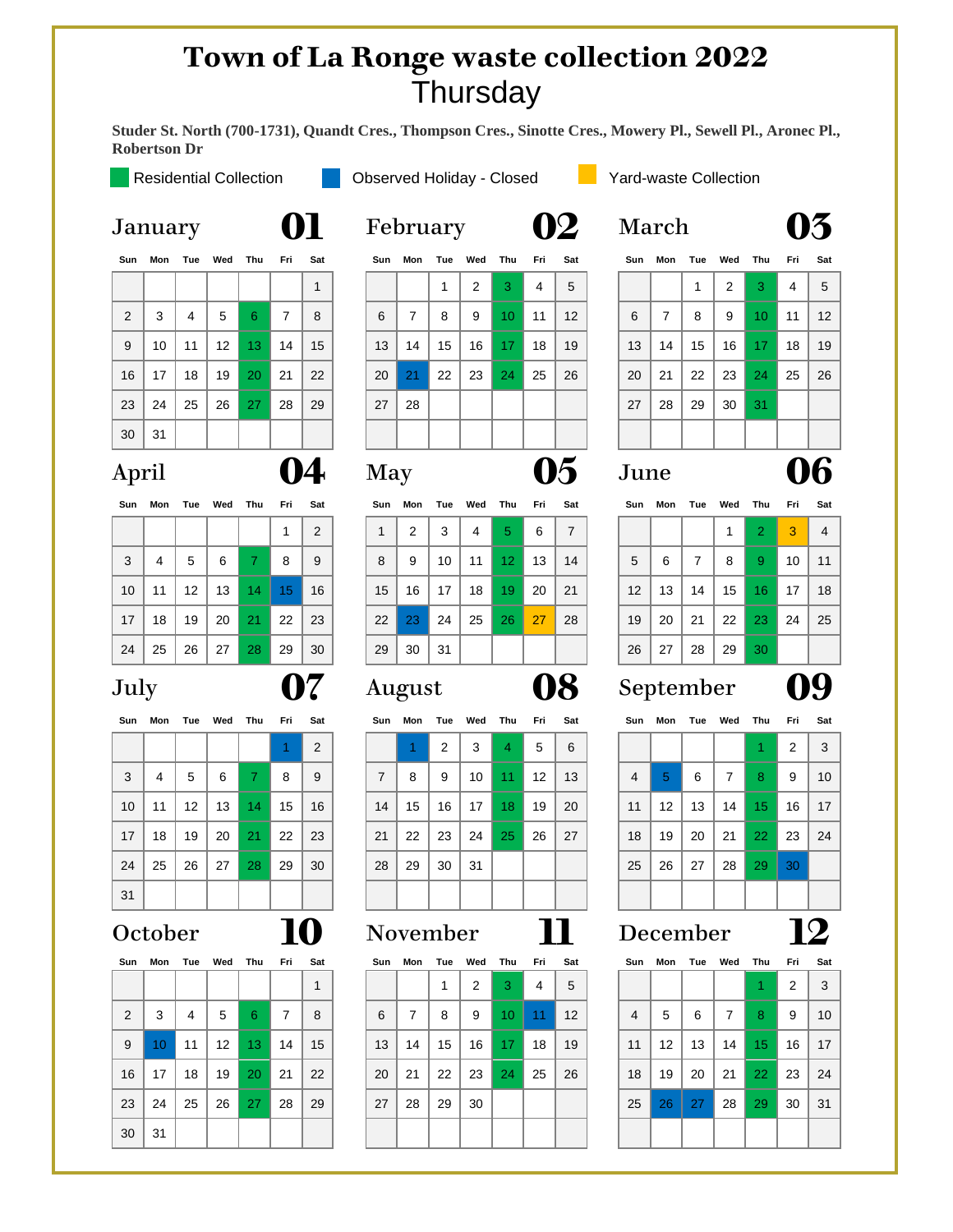### **Town of La Ronge waste collection 2022 Thursday**

**Studer St. North (700-1731), Quandt Cres., Thompson Cres., Sinotte Cres., Mowery Pl., Sewell Pl., Aronec Pl., Robertson Dr** 

### Residential Collection **Observed Holiday - Closed Collection** Yard-waste Collection

| Sun            | Mon | Tue            | Wed | Thu | Fri | Sat |
|----------------|-----|----------------|-----|-----|-----|-----|
|                |     |                |     |     |     | 1   |
| $\overline{2}$ | 3   | $\overline{4}$ | 5   | 6   | 7   | 8   |
| 9              | 10  | 11             | 12  | 13  | 14  | 15  |
| 16             | 17  | 18             | 19  | 20  | 21  | 22  |
| 23             | 24  | 25             | 26  | 27  | 28  | 29  |
| 30             | 31  |                |     |     |     |     |

| Sun | Mon |    | Tue Wed Thu |    | Fri | Sat            |
|-----|-----|----|-------------|----|-----|----------------|
|     |     |    |             |    | 1   | $\overline{2}$ |
| 3   | 4   | 5  | 6           | 7  | 8   | 9              |
| 10  | 11  | 12 | 13          | 14 | 15  | 16             |
| 17  | 18  | 19 | 20          | 21 | 22  | 23             |
| 24  | 25  | 26 | 27          | 28 | 29  | 30             |

| Sun | Mon |    | Tue Wed Thu Fri |    |    | Sa             |
|-----|-----|----|-----------------|----|----|----------------|
|     |     |    |                 |    |    | $\overline{2}$ |
| 3   | 4   | 5  | 6               | 7  | 8  | 9              |
| 10  | 11  | 12 | 13              | 14 | 15 | 16             |
| 17  | 18  | 19 | 20              | 21 | 22 | 23             |
| 24  | 25  | 26 | 27              | 28 | 29 | 3 <sub>C</sub> |
| 31  |     |    |                 |    |    |                |

| Sun            | Mon | Tue | Wed Thu |    | Fri | Sat |
|----------------|-----|-----|---------|----|-----|-----|
|                |     |     |         |    |     |     |
| $\overline{2}$ | 3   | 4   | 5       | 6  | 7   | 8   |
| 9              | 10  | 11  | 12      | 13 | 14  | 15  |
| 16             | 17  | 18  | 19      | 20 | 21  | 22  |
| 23             | 24  | 25  | 26      | 27 | 28  | 29  |
| 30             | 31  |     |         |    |     |     |

|     |       |     |                 |     |     | vi           | $       -$ |                |    |         |                 |               | ₩.                |     |     |         |    |                 |     | v   |
|-----|-------|-----|-----------------|-----|-----|--------------|------------|----------------|----|---------|-----------------|---------------|-------------------|-----|-----|---------|----|-----------------|-----|-----|
| Sun | Mon   | Tue | Wed             | Thu | Fri | Sat          | Sun        | Mon            |    | Tue Wed | Thu             | Fri           | Sat               | Sun | Mon | Tue Wed |    | Thu             | Fri | Sat |
|     |       |     |                 |     |     | $\mathbf{1}$ |            |                | 1  | 2       | 3               | 4             | 5                 |     |     | 1       | 2  | 3               | 4   | 5   |
| 2   | 3     | 4   | 5               | 6   | 7   | 8            | 6          | $\overline{7}$ | 8  | 9       | 10 <sup>°</sup> | 11            | $12 \overline{ }$ | 6   | 7   | 8       | 9  | 10 <sup>°</sup> | 11  | 12  |
| 9   | 10    | 11  | 12 <sup>2</sup> | 13  | 14  | 15           | 13         | 14             | 15 | 16      | 17              | 18            | 19                | 13  | 14  | 15      | 16 | 17              | 18  | 19  |
| 16  | 17    | 18  | 19              | 20  | 21  | 22           | 20         | 21             | 22 | 23      | 24              | 25            | 26                | 20  | 21  | 22      | 23 | 24              | 25  | 26  |
| 23  | 24    | 25  | 26              | 27  | 28  | 29           | 27         | 28             |    |         |                 |               |                   | 27  | 28  | 29      | 30 | 31              |     |     |
| 30  | 31    |     |                 |     |     |              |            |                |    |         |                 |               |                   |     |     |         |    |                 |     |     |
|     | April |     |                 |     |     | <b>May</b>   |            |                |    |         |                 | $\mathcal{P}$ | June              |     |     |         |    |                 | 06  |     |

| Sun             | Mon | Tue Wed           |    | Thu          | Fri Sat |                |    | Sun Mon |    | Tue Wed Thu |                 | Fri | Sat            | Sun | Mon | Tue Wed Thu |    |                 | Fri | -Sa       |
|-----------------|-----|-------------------|----|--------------|---------|----------------|----|---------|----|-------------|-----------------|-----|----------------|-----|-----|-------------|----|-----------------|-----|-----------|
|                 |     |                   |    |              |         | $\overline{2}$ |    | 2       | 3  | 4           | 5               | 6   | $\overline{7}$ |     |     |             |    | $\overline{2}$  | 3   | 4         |
| 3               | 4   | 5                 | 6  | $\mathbf{7}$ | 8       | 9              | 8  | 9       | 10 | 11          | 12 <sub>1</sub> | 13  | 14             | 5   | 6   |             | 8  | 9               | 10  | $\cdot$ 1 |
| 10 <sup>1</sup> | 11  | $12 \overline{ }$ | 13 | 14           | 15      | 16             | 15 | 16      | 17 | 18          | 19              | 20  | 21             | 12  | 13  | 14          | 15 | 16 <sup>1</sup> | 17  | 18        |
| 17              | 18  | 19                | 20 | 21           | 22      | 23             | 22 | 23      | 24 | 25          | 26              | 27  | 28             | 19  | 20  | 21          | 22 | 23              | 24  | 2!        |
| 24              | 25  | 26                | 27 | 28           | 29      | 30             | 29 | 30      | 31 |             |                 |     |                | 26  | 27  | 28          | 29 | 30 <sup>°</sup> |     |           |
|                 |     |                   |    |              |         |                |    |         |    |             |                 |     |                |     |     |             |    |                 |     |           |

|                 |    |                 | Sun Mon Tue Wed Thu |                 | Fri Sat |    |    | Sun Mon |    | Tue Wed Thu     |                 | Fri | Sat |                |                  |     | Sun Mon Tue Wed Thu Fri |                 |              | -Sat           |
|-----------------|----|-----------------|---------------------|-----------------|---------|----|----|---------|----|-----------------|-----------------|-----|-----|----------------|------------------|-----|-------------------------|-----------------|--------------|----------------|
|                 |    |                 |                     |                 |         | 2  |    |         | 2  | 3               | 4               | 5   | 6   |                |                  |     |                         |                 | 2            | $\overline{3}$ |
| 3               | 4  | 5               | 6                   | 7.              | 8       | 9  | 7  | 8       | 9  | 10              | 11 <sup>1</sup> | 12  | 13  | $\overline{4}$ | 5                | 6   | 7                       | 8               | 9            | 10             |
| 10 <sup>1</sup> | 11 | 12 <sup>°</sup> | 13                  | 14 <sup>1</sup> | 15      | 16 | 14 | 15      | 16 | 17 <sup>1</sup> | 18 <sup>1</sup> | 19  | 20  | 11             | 12 <sup>12</sup> | 13  | 14                      | 15 <sup>2</sup> | 16           | 17             |
| 17 <sup>1</sup> | 18 | 19              | 20                  | 21 <sup>2</sup> | -22     | 23 | 21 | 22      | 23 | 24              | 25              | 26  | 27  | 18             | 19               | -20 | 21                      | 22 <sub>1</sub> | -23          | 24             |
| 24              | 25 | 26              | 27                  | 28              | 29      | 30 | 28 | 29      | 30 | 31              |                 |     |     | 25             | 26               | 27  | 28                      | 29              | $ 30\rangle$ |                |
| 31              |    |                 |                     |                 |         |    |    |         |    |                 |                 |     |     |                |                  |     |                         |                 |              |                |

### October **10** November **11** December **12**

|    |                 | Sun Mon Tue Wed |    | Thu             | Fri | Sat          | Sun | Mon | Tue | Wed | Thu             | Fri | Sat | Sun            |                   | Mon Tue Wed |                | Thu             | Fri | Sat          |
|----|-----------------|-----------------|----|-----------------|-----|--------------|-----|-----|-----|-----|-----------------|-----|-----|----------------|-------------------|-------------|----------------|-----------------|-----|--------------|
|    |                 |                 |    |                 |     | $\mathbf{1}$ |     |     |     | 2   | 3               | 4   | 5   |                |                   |             |                |                 | 2   | $\mathbf{3}$ |
| 2  | 3               | 4               | 5  | 6               | 7   | 8            | 6   | 7   | 8   | 9   | 10 <sup>°</sup> | 11  | 12  | $\overline{4}$ | 5                 | 6           | $\overline{7}$ | 8               | 9   | 10           |
| 9  | 10 <sup>°</sup> | 11              | 12 | 13 <sup>°</sup> | 14  | 15           | 13  | 14  | 15  | 16  | 17 <sup>°</sup> | 18  | 19  | 11             | $12 \overline{ }$ | 13          | 14             | 15              | 16  | - 17         |
| 16 | 17              | 18              | 19 | <b>20</b>       | 21  | 22           | 20  | 21  | 22  | 23  | 24              | 25  | 26  | 18             | 19                | 20          | 21             | 22 <sub>1</sub> | 23  | 24           |
| 23 | 24              | 25              | 26 | 27              | 28  | 29           | 27  | 28  | 29  | 30  |                 |     |     | 25             | 26                | 27          | 28             | 29              | 30  | - 31         |
| 30 | 31              |                 |    |                 |     |              |     |     |     |     |                 |     |     |                |                   |             |                |                 |     |              |
|    |                 |                 |    |                 |     |              |     |     |     |     |                 |     |     |                |                   |             |                |                 |     |              |

# January **01** February **02** March **03**

| Sun |    | Mon Tue Wed Thu Fri |                |       |                | Sat |
|-----|----|---------------------|----------------|-------|----------------|-----|
|     |    | 1                   | $\overline{2}$ | 3     | $\overline{4}$ | 5   |
| 6   | 7  | 8                   | 9              | 10    | 11             | 12  |
| 13  | 14 | 15                  | 16             | $-17$ | 18             | 19  |
| 20  | 21 | 22                  | 23             | 24    | 25             | 26  |
| 27  | 28 | 29                  | 30             | 31    |                |     |
|     |    |                     |                |       |                |     |

| Sun             | Mon | Tue               | Wed | Thu | Fri | Sat | Sun | Mon | Tue | Wed | Thu             | Fri | Sat | Sun               | Mon | Tue | Wed | Thu          | Fri | Sat            |
|-----------------|-----|-------------------|-----|-----|-----|-----|-----|-----|-----|-----|-----------------|-----|-----|-------------------|-----|-----|-----|--------------|-----|----------------|
|                 |     |                   |     |     |     | 2   |     | 2   | 3   | 4   | 5               | 6   | 7   |                   |     |     |     | $\mathbf{2}$ | 3   | $\overline{4}$ |
| 3               | 4   | 5                 | 6   | 7.  | 8   | 9   | 8   | 9   | 10  | 11  | 12 <sup>2</sup> | 13  | 14  | 5                 | 6   | 7   | 8   | 9            | 10  | 11             |
| 10 <sup>°</sup> | 11  | $12 \overline{ }$ | 13  | 14  | 15  | 16  | 15  | 16  | 17  | 18  | 19              | 20  | -21 | $12 \overline{ }$ | 13  | 14  | 15  | 16.          | 17  | 18             |
| 17              | 18  | 19                | 20  | 21  | 22  | 23  | 22  | 23  | 24  | 25  | 26              | 27  | 28  | 19                | 20  | 21  | 22  | -23          | 24  | 25             |
| 24              | 25  | 26                | 27  | 28  | 29  | 30  | 29  | 30  | 31  |     |                 |     |     | 26                | 27  | 28  | 29  | 30           |     |                |
|                 |     |                   |     |     |     |     |     |     |     |     |                 |     |     |                   |     |     |     |              |     |                |

# July **07** August **08** September **09**

| Sun            | Mon |    | Tue Wed Thu    |    | Fri            | Sat |
|----------------|-----|----|----------------|----|----------------|-----|
|                |     |    |                |    | $\overline{2}$ | 3   |
| $\overline{4}$ | 5   | 6  | $\overline{7}$ | 8  | 9              | 10  |
| 11             | 12  | 13 | 14             | 15 | 16             | 17  |
| 18             | 19  | 20 | 21             | 22 | 23             | 24  |
| 25             | 26  | 27 | 28             | 29 | 30             |     |
|                |     |    |                |    |                |     |

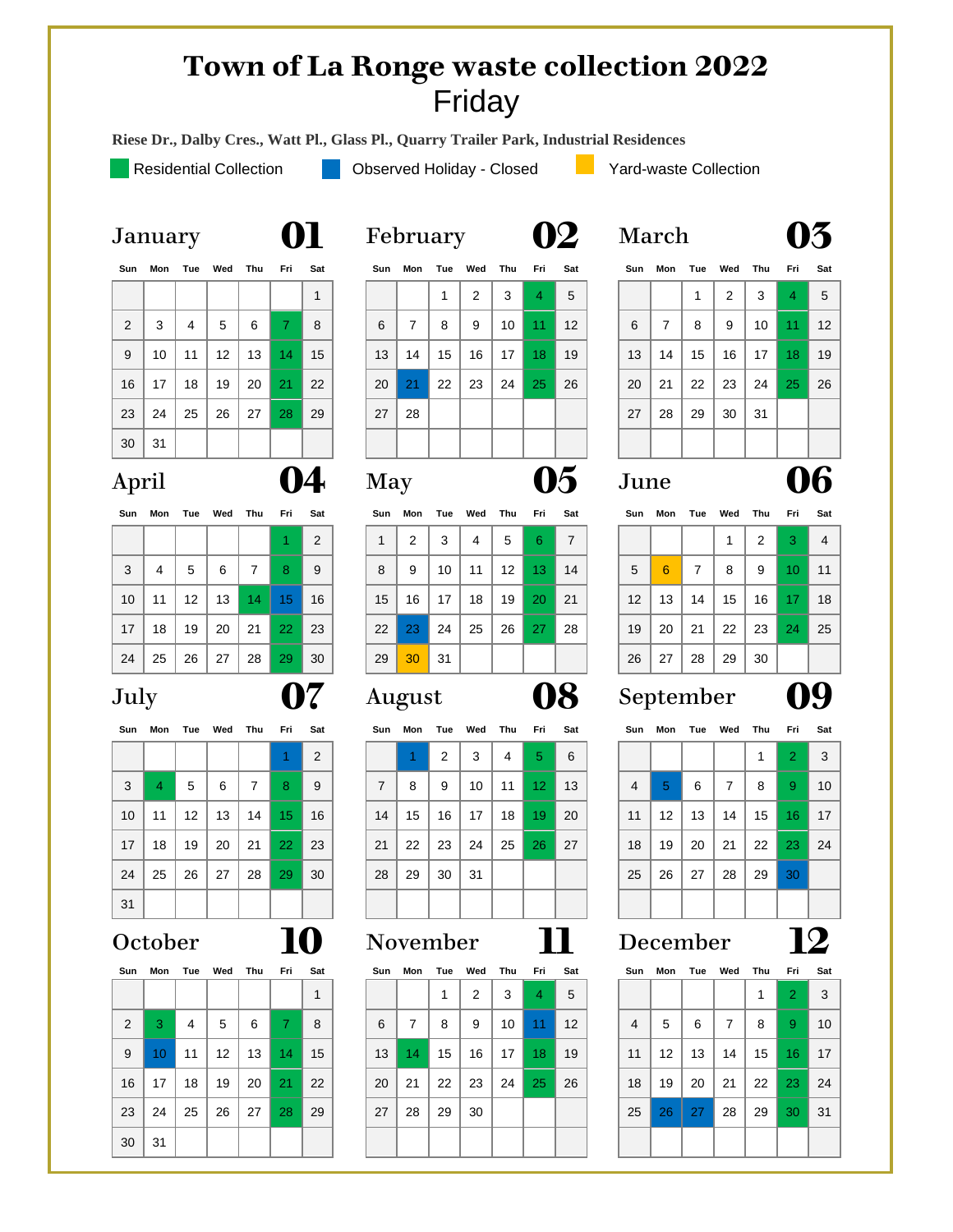### **Town of La Ronge waste collection 2022** Friday

**Riese Dr., Dalby Cres., Watt Pl., Glass Pl., Quarry Trailer Park, Industrial Residences** 

Residential Collection **Observed Holiday - Closed Collection** Yard-waste Collection

| Sun            | Mon |                | Tue Wed Thu |    | Fri | Sat |
|----------------|-----|----------------|-------------|----|-----|-----|
|                |     |                |             |    |     | 1   |
| $\overline{2}$ | 3   | $\overline{4}$ | 5           | 6  | 7   | 8   |
| 9              | 10  | 11             | 12          | 13 | 14  | 15  |
| 16             | 17  | 18             | 19          | 20 | 21  | 22  |
| 23             | 24  | 25             | 26          | 27 | 28  | 29  |
| 30             | 31  |                |             |    |     |     |

| Sun | Mon |    | Tue Wed | Thu | Fri | Sat |
|-----|-----|----|---------|-----|-----|-----|
|     |     |    |         |     |     | 2   |
| 3   | 4   | 5  | 6       | 7   | 8   | 9   |
| 10  | 11  | 12 | 13      | 14  | 15  | 16  |
| 17  | 18  | 19 | 20      | 21  | -22 | 23  |
|     |     |    |         |     |     |     |

| 3  | 4  | 5  | 6  |    | 8          | 9  |
|----|----|----|----|----|------------|----|
| 10 | 11 | 12 | 13 | 14 | 15         | 16 |
| 17 | 18 | 19 | 20 | 21 | $\vert$ 22 | 23 |
| 24 | 25 | 26 | 27 | 28 | 29         | 30 |
| 31 |    |    |    |    |            |    |

| Sun            | Mon |    | Tue Wed | Thu Fri |                | Sat |
|----------------|-----|----|---------|---------|----------------|-----|
|                |     |    |         |         |                | 1   |
| $\overline{2}$ | 3   | 4  | 5       | 6       | $\overline{7}$ | 8   |
| 9              | 10  | 11 | 12      | 13      | 14             | 15  |
| 16             | 17  | 18 | 19      | 20      | 21             | 22  |
| 23             | 24  | 25 | 26      | 27      | 28             | 29  |
| 30             | 31  |    |         |         |                |     |

| τ συταστι |                 |   |   |  |
|-----------|-----------------|---|---|--|
|           | Sun Mon Tue Wed |   |   |  |
|           |                 |   | 2 |  |
| 6         |                 | 8 | 9 |  |
|           |                 |   |   |  |

| 2  | 3  | 4  | 5  | 6  |    | 8  | 6  |    | 8  | 9  | 10 | 11 | 12 | 6  |    | 8  | 9  | 10 |
|----|----|----|----|----|----|----|----|----|----|----|----|----|----|----|----|----|----|----|
| 9  | 10 | 11 | 12 | 13 | 14 | 15 | 13 | 14 | 15 | 16 | 17 | 18 | 19 | 13 | 14 | 15 | 16 | 17 |
| 16 | 17 | 18 | 19 | 20 | 21 | 22 | 20 | 21 | 22 | 23 | 24 | 25 | 26 | 20 | 21 | 22 | 23 | 24 |
| 23 | 24 | 25 | 26 | 27 | 28 | 29 | 27 | 28 |    |    |    |    |    | 27 | 28 | 29 | 30 | 31 |
| 30 | 31 |    |    |    |    |    |    |    |    |    |    |    |    |    |    |    |    |    |
|    |    |    |    |    |    |    |    |    |    |    |    |    |    |    |    |    |    |    |

| Sun | Mon | Tue | Wed | Thu | Fri | Sat |
|-----|-----|-----|-----|-----|-----|-----|
| 1   | 2   | 3   | 4   | 5   | 6   |     |
| 8   | 9   | 10  | 11  | 12  | 13  | 14  |
| 15  | 16  | 17  | 18  | 19  | 20  | 21  |
| 22  | 23  | 24  | 25  | 26  | -27 | 28  |
| 29  | 30  | 31  |     |     |     |     |

| ----            |    |                   |    |    | .  | <u>wus</u> | -  |    |    |    |    | .               | <u>.</u> | .              |                 |    |    |    | .               |                         |
|-----------------|----|-------------------|----|----|----|------------|----|----|----|----|----|-----------------|----------|----------------|-----------------|----|----|----|-----------------|-------------------------|
|                 |    |                   |    |    |    | 2          |    |    | 2  | 3  | 4  | 5 <sup>1</sup>  | 6        |                |                 |    |    |    | 2               | $\overline{\mathbf{3}}$ |
| 3               | 4  | 5                 | 6  | 7  | 8  | 9          | 7  | 8  | 9  | 10 | 11 | 12 <sup>2</sup> | 13       | $\overline{4}$ | 5               | 6  | 7  | 8  | -9              | 10                      |
| 10 <sup>°</sup> | 11 | $12 \overline{ }$ | 13 | 14 | 15 | 16         | 14 | 15 | 16 | 17 | 18 | 19              | 20       | 11             | 12 <sup>°</sup> | 13 | 14 | 15 | 16 <sup>1</sup> | 17                      |
| 17 <sup>2</sup> | 18 | 19                | 20 | 21 | 22 | 23         | 21 | 22 | 23 | 24 | 25 | 26              | 27       | 18             | 19              | 20 | 21 | 22 | 23              | 24                      |
| 24              | 25 | 26                | 27 | 28 | 29 | 30         | 28 | 29 | 30 | 31 |    |                 |          | 25             | 26              | 27 | 28 | 29 | 30              |                         |
| 31              |    |                   |    |    |    |            |    |    |    |    |    |                 |          |                |                 |    |    |    |                 |                         |

|    | Sun Mon Tue Wed |    |                   | Thu | Fri          | Sat | Sun | Mon | Tue | Wed | Thu | Fri             | Sat |                | Sun Mon         | Tue Wed   |    | Thu Fri |                | Sat          |
|----|-----------------|----|-------------------|-----|--------------|-----|-----|-----|-----|-----|-----|-----------------|-----|----------------|-----------------|-----------|----|---------|----------------|--------------|
|    |                 |    |                   |     |              | 1   |     |     |     | 2   | 3   | $\overline{4}$  | 5   |                |                 |           |    |         | $\overline{2}$ | $\mathbf{3}$ |
| 2  | 3               | 4  | 5                 | 6   | $\mathbf{7}$ | 8   | 6   | 7   | 8   | 9   | 10  | 11 <sup>1</sup> | 12  | $\overline{4}$ | 5               | 6         | 7  | 8       | 9              | 10           |
| 9  | 10 <sup>°</sup> | 11 | $12 \overline{ }$ | 13  | 14           | 15  | 13  | 14  | 15  | 16  | 17  | 18              | 19  | 11             | 12 <sup>°</sup> | 13        | 14 | 15      | -16            | - 17         |
| 16 | 17              | 18 | 19                | 20  | 21           | 22  | 20  | 21  | 22  | 23  | 24  | 25              | 26  | 18             | 19              | 20        | 21 | 22      | -23            | 24           |
| 23 | 24              | 25 | 26                | 27  | 28           | 29  | 27  | 28  | 29  | 30  |     |                 |     | 25             | 26              | <b>27</b> | 28 | 29      | 30             | -31          |
| 30 | 31              |    |                   |     |              |     |     |     |     |     |     |                 |     |                |                 |           |    |         |                |              |
|    |                 |    |                   |     |              |     |     |     |     |     |     |                 |     |                |                 |           |    |         |                |              |

| January | 01 | February | 02 | March | 03 |
|---------|----|----------|----|-------|----|
|---------|----|----------|----|-------|----|

| Sun            | Mon | Tue | Wed | Thu | Fri          | Sat | Sun        | Mon | Tue | Wed | Thu | Fri            | Sat                        | Sun  | Mon | Tue Wed |    | Thu | Fri | Sat |
|----------------|-----|-----|-----|-----|--------------|-----|------------|-----|-----|-----|-----|----------------|----------------------------|------|-----|---------|----|-----|-----|-----|
|                |     |     |     |     |              | 1   |            |     |     | 2   | 3   | $\overline{4}$ | 5                          |      |     |         | 2  | 3   | 4   | 5   |
| $\overline{2}$ | 3   | 4   | 5   | 6   | $\mathbf{7}$ | 8   | 6          | 7   | 8   | 9   | 10  | 11             | 12                         | 6    | 7   | 8       | 9  | 10  | 11  | 12  |
| 9              | 10  | 11  | 12  | 13  | 14           | 15  | 13         | 14  | 15  | 16  | 17  | 18             | 19                         | 13   | 14  | 15      | 16 | 17  | 18  | 19  |
| 16             | 17  | 18  | 19  | 20  | 21           | 22  | 20         | 21  | 22  | 23  | 24  | 25             | 26                         | 20   | 21  | 22      | 23 | 24  | 25  | 26  |
| 23             | 24  | 25  | 26  | 27  | 28           | 29  | 27         | 28  |     |     |     |                |                            | 27   | 28  | 29      | 30 | 31  |     |     |
| 30             | 31  |     |     |     |              |     |            |     |     |     |     |                |                            |      |     |         |    |     |     |     |
| April          |     |     |     |     |              |     | <b>May</b> |     |     |     |     |                | $\mathcal{F}_{\mathbf{0}}$ | June |     |         |    |     |     | 16  |

| Sun             | Mon | Tue | Wed | Thu | Fri | Sat | Sun | Mon |    | Tue Wed | Thu               | Fri | Sat | Sun | Mon | Tue | Wed | Thu | Fri             | Sat |
|-----------------|-----|-----|-----|-----|-----|-----|-----|-----|----|---------|-------------------|-----|-----|-----|-----|-----|-----|-----|-----------------|-----|
|                 |     |     |     |     | 1   | 2   |     | 2   | 3  | 4       | 5                 | 6   | 7   |     |     |     |     | 2   | 3.              | 4   |
| 3               | 4   | 5   | 6   | 7   | 8   | 9   | 8   | 9   | 10 | 11      | $12 \overline{ }$ | 13. | 14  | 5   | 6   | 7   | 8   | 9   | 10              | 11  |
| 10 <sup>1</sup> | 11  | 12  | 13  | 14  | 15  | 16  | 15  | 16  | 17 | 18      | 19                | 20  | 21  | 12  | 13  | 14  | 15  | 16  | 17 <sup>1</sup> | 18  |
| 17              | 18  | 19  | 20  | 21  | 22  | 23  | 22  | 23  | 24 | 25      | 26                | 27  | 28  | 19  | 20  | 21  | 22  | 23  | 24              | 25  |
| 24              | 25  | 26  | 27  | 28  | 29  | 30  | 29  | 30  | 31 |         |                   |     |     | 26  | 27  | 28  | 29  | 30  |                 |     |

### July **07** August **08** September **09**

| Sun             | Mon | Tue             | Wed | Thu | Fri | Sat | Sun | Mon | Tue | Wed | Thu | Fri             | Sat | Sun | Mon               | Tue | Wed | Thu | Fri                  | Sat             |
|-----------------|-----|-----------------|-----|-----|-----|-----|-----|-----|-----|-----|-----|-----------------|-----|-----|-------------------|-----|-----|-----|----------------------|-----------------|
|                 |     |                 |     |     |     | 2   |     |     | 2   | 3   | 4   | 5               | 6   |     |                   |     |     |     | $\mathbf{2}^{\circ}$ | 3               |
| 3               | 4   | 5               | 6   |     | 8   | 9   | 7   | 8   | 9   | 10  | 11  | 12 <sup>°</sup> | 13  | 4   | 5                 | 6   | ⇁   | 8   | 9                    | 10              |
| 10 <sup>°</sup> | 11  | 12 <sup>2</sup> | 13  | 14  | 15  | 16  | 14  | 15  | 16  | 17  | 18  | 19              | 20  | 11  | $12 \overline{ }$ | 13  | 14  | 15  | 16 <sup>1</sup>      | 17 <sub>1</sub> |
| 17 <sup>2</sup> | 18  | 19              | 20  | 21  | 22  | 23  | 21  | 22  | 23  | 24  | 25  | 26              | 27  | 18  | 19                | 20  | 21  | 22  | 23                   | 24              |
| 24              | 25  | 26              | 27  | 28  | 29  | 30  | 28  | 29  | 30  | -31 |     |                 |     | 25  | 26                | 27  | 28  | 29  | 30 <sub>1</sub>      |                 |
| 31              |     |                 |     |     |     |     |     |     |     |     |     |                 |     |     |                   |     |     |     |                      |                 |

### October **10** November **11** December **12**